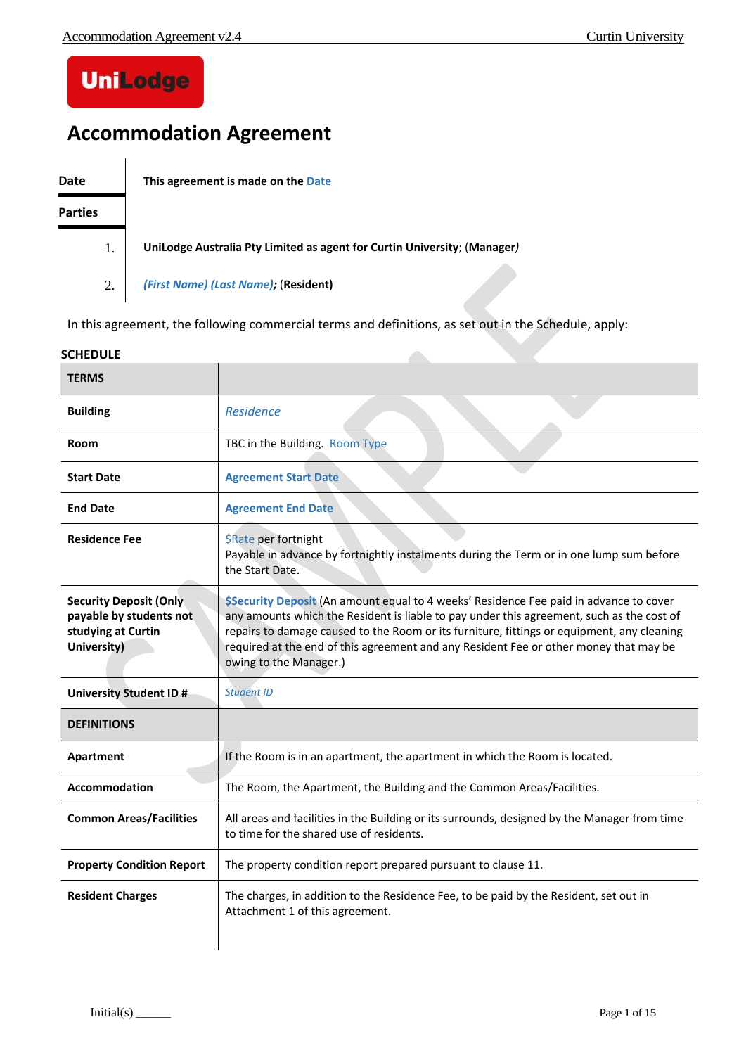# **UniLodge**

# **Accommodation Agreement**

**Date This agreement is made on the Date**

#### **Parties**

1. **UniLodge Australia Pty Limited as agent for Curtin University**; (**Manager***)*

2. *(First Name) (Last Name);* (**Resident)**

In this agreement, the following commercial terms and definitions, as set out in the Schedule, apply:

#### **SCHEDULE**

| <b>TERMS</b>                                                                                  |                                                                                                                                                                                                                                                                                                                                                                                                      |  |
|-----------------------------------------------------------------------------------------------|------------------------------------------------------------------------------------------------------------------------------------------------------------------------------------------------------------------------------------------------------------------------------------------------------------------------------------------------------------------------------------------------------|--|
| <b>Building</b>                                                                               | Residence                                                                                                                                                                                                                                                                                                                                                                                            |  |
| Room                                                                                          | TBC in the Building. Room Type                                                                                                                                                                                                                                                                                                                                                                       |  |
| <b>Start Date</b>                                                                             | <b>Agreement Start Date</b>                                                                                                                                                                                                                                                                                                                                                                          |  |
| <b>End Date</b>                                                                               | <b>Agreement End Date</b>                                                                                                                                                                                                                                                                                                                                                                            |  |
| <b>Residence Fee</b>                                                                          | \$Rate per fortnight<br>Payable in advance by fortnightly instalments during the Term or in one lump sum before<br>the Start Date.                                                                                                                                                                                                                                                                   |  |
| <b>Security Deposit (Only</b><br>payable by students not<br>studying at Curtin<br>University) | \$Security Deposit (An amount equal to 4 weeks' Residence Fee paid in advance to cover<br>any amounts which the Resident is liable to pay under this agreement, such as the cost of<br>repairs to damage caused to the Room or its furniture, fittings or equipment, any cleaning<br>required at the end of this agreement and any Resident Fee or other money that may be<br>owing to the Manager.) |  |
| <b>University Student ID#</b>                                                                 | <b>Student ID</b>                                                                                                                                                                                                                                                                                                                                                                                    |  |
| <b>DEFINITIONS</b>                                                                            |                                                                                                                                                                                                                                                                                                                                                                                                      |  |
| Apartment                                                                                     | If the Room is in an apartment, the apartment in which the Room is located.                                                                                                                                                                                                                                                                                                                          |  |
| <b>Accommodation</b>                                                                          | The Room, the Apartment, the Building and the Common Areas/Facilities.                                                                                                                                                                                                                                                                                                                               |  |
| <b>Common Areas/Facilities</b>                                                                | All areas and facilities in the Building or its surrounds, designed by the Manager from time<br>to time for the shared use of residents.                                                                                                                                                                                                                                                             |  |
| <b>Property Condition Report</b>                                                              | The property condition report prepared pursuant to clause 11.                                                                                                                                                                                                                                                                                                                                        |  |
| <b>Resident Charges</b>                                                                       | The charges, in addition to the Residence Fee, to be paid by the Resident, set out in<br>Attachment 1 of this agreement.                                                                                                                                                                                                                                                                             |  |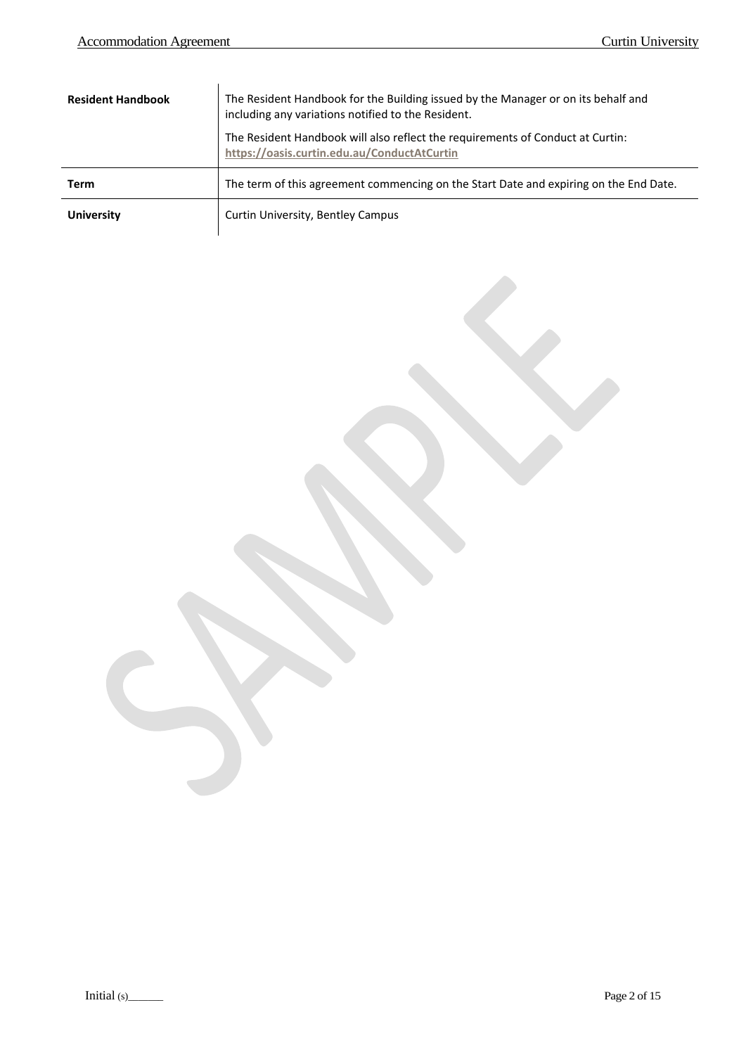$\overline{a}$ 

| <b>Resident Handbook</b> | The Resident Handbook for the Building issued by the Manager or on its behalf and<br>including any variations notified to the Resident.<br>The Resident Handbook will also reflect the requirements of Conduct at Curtin:<br>https://oasis.curtin.edu.au/ConductAtCurtin |  |
|--------------------------|--------------------------------------------------------------------------------------------------------------------------------------------------------------------------------------------------------------------------------------------------------------------------|--|
| Term                     | The term of this agreement commencing on the Start Date and expiring on the End Date.                                                                                                                                                                                    |  |
| <b>University</b>        | Curtin University, Bentley Campus                                                                                                                                                                                                                                        |  |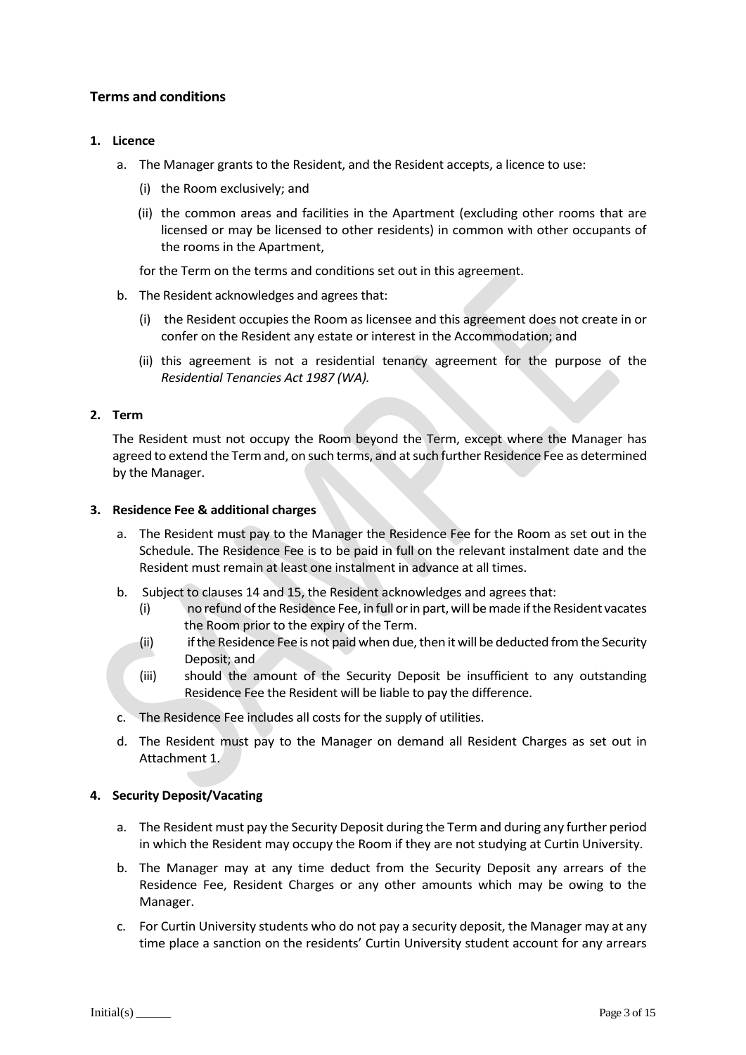### **Terms and conditions**

#### **1. Licence**

- a. The Manager grants to the Resident, and the Resident accepts, a licence to use:
	- (i) the Room exclusively; and
	- (ii) the common areas and facilities in the Apartment (excluding other rooms that are licensed or may be licensed to other residents) in common with other occupants of the rooms in the Apartment,

for the Term on the terms and conditions set out in this agreement.

- b. The Resident acknowledges and agrees that:
	- (i) the Resident occupies the Room as licensee and this agreement does not create in or confer on the Resident any estate or interest in the Accommodation; and
	- (ii) this agreement is not a residential tenancy agreement for the purpose of the *Residential Tenancies Act 1987 (WA).*

#### **2. Term**

The Resident must not occupy the Room beyond the Term, except where the Manager has agreed to extend the Termand, on such terms, and at such further Residence Fee as determined by the Manager.

#### **3. Residence Fee & additional charges**

- a. The Resident must pay to the Manager the Residence Fee for the Room as set out in the Schedule. The Residence Fee is to be paid in full on the relevant instalment date and the Resident must remain at least one instalment in advance at all times.
- b. Subject to clauses 14 and 15, the Resident acknowledges and agrees that:
	- (i) no refund of the Residence Fee, in full or in part, will be made if the Resident vacates the Room prior to the expiry of the Term.
	- (ii) if the Residence Fee is not paid when due, then it will be deducted from the Security Deposit; and
	- (iii) should the amount of the Security Deposit be insufficient to any outstanding Residence Fee the Resident will be liable to pay the difference.
- c. The Residence Fee includes all costs for the supply of utilities.
- d. The Resident must pay to the Manager on demand all Resident Charges as set out in Attachment 1.

#### **4. Security Deposit/Vacating**

- a. The Resident must pay the Security Deposit during the Term and during any further period in which the Resident may occupy the Room if they are not studying at Curtin University.
- b. The Manager may at any time deduct from the Security Deposit any arrears of the Residence Fee, Resident Charges or any other amounts which may be owing to the Manager.
- c. For Curtin University students who do not pay a security deposit, the Manager may at any time place a sanction on the residents' Curtin University student account for any arrears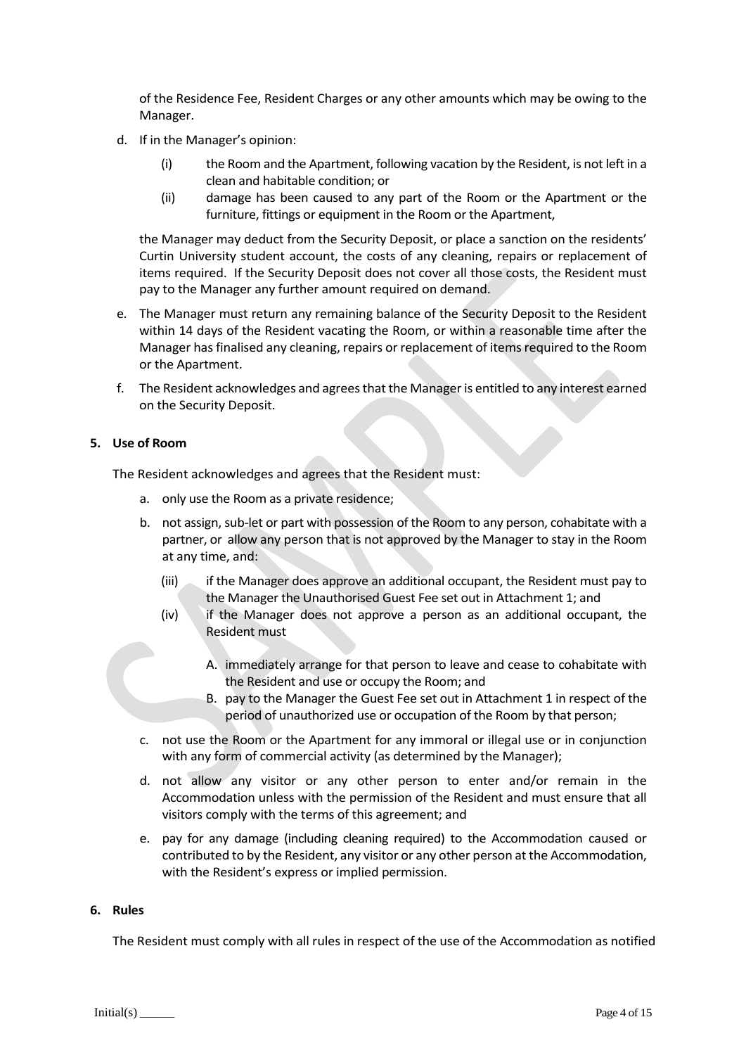of the Residence Fee, Resident Charges or any other amounts which may be owing to the Manager.

- d. If in the Manager's opinion:
	- (i) the Room and the Apartment, following vacation by the Resident, is not left in a clean and habitable condition; or
	- (ii) damage has been caused to any part of the Room or the Apartment or the furniture, fittings or equipment in the Room or the Apartment,

the Manager may deduct from the Security Deposit, or place a sanction on the residents' Curtin University student account, the costs of any cleaning, repairs or replacement of items required. If the Security Deposit does not cover all those costs, the Resident must pay to the Manager any further amount required on demand.

- e. The Manager must return any remaining balance of the Security Deposit to the Resident within 14 days of the Resident vacating the Room, or within a reasonable time after the Manager has finalised any cleaning, repairs or replacement of items required to the Room or the Apartment.
- f. The Resident acknowledges and agreesthat the Manager is entitled to any interest earned on the Security Deposit.

#### **5. Use of Room**

The Resident acknowledges and agrees that the Resident must:

- a. only use the Room as a private residence;
- b. not assign, sub-let or part with possession of the Room to any person, cohabitate with a partner, or allow any person that is not approved by the Manager to stay in the Room at any time, and:
	- (iii) if the Manager does approve an additional occupant, the Resident must pay to the Manager the Unauthorised Guest Fee set out in Attachment 1; and
	- (iv) if the Manager does not approve a person as an additional occupant, the Resident must
		- A. immediately arrange for that person to leave and cease to cohabitate with the Resident and use or occupy the Room; and
		- B. pay to the Manager the Guest Fee set out in Attachment 1 in respect of the period of unauthorized use or occupation of the Room by that person;
- c. not use the Room or the Apartment for any immoral or illegal use or in conjunction with any form of commercial activity (as determined by the Manager);
- d. not allow any visitor or any other person to enter and/or remain in the Accommodation unless with the permission of the Resident and must ensure that all visitors comply with the terms of this agreement; and
- e. pay for any damage (including cleaning required) to the Accommodation caused or contributed to by the Resident, any visitor or any other person at the Accommodation, with the Resident's express or implied permission.

#### **6. Rules**

The Resident must comply with all rules in respect of the use of the Accommodation as notified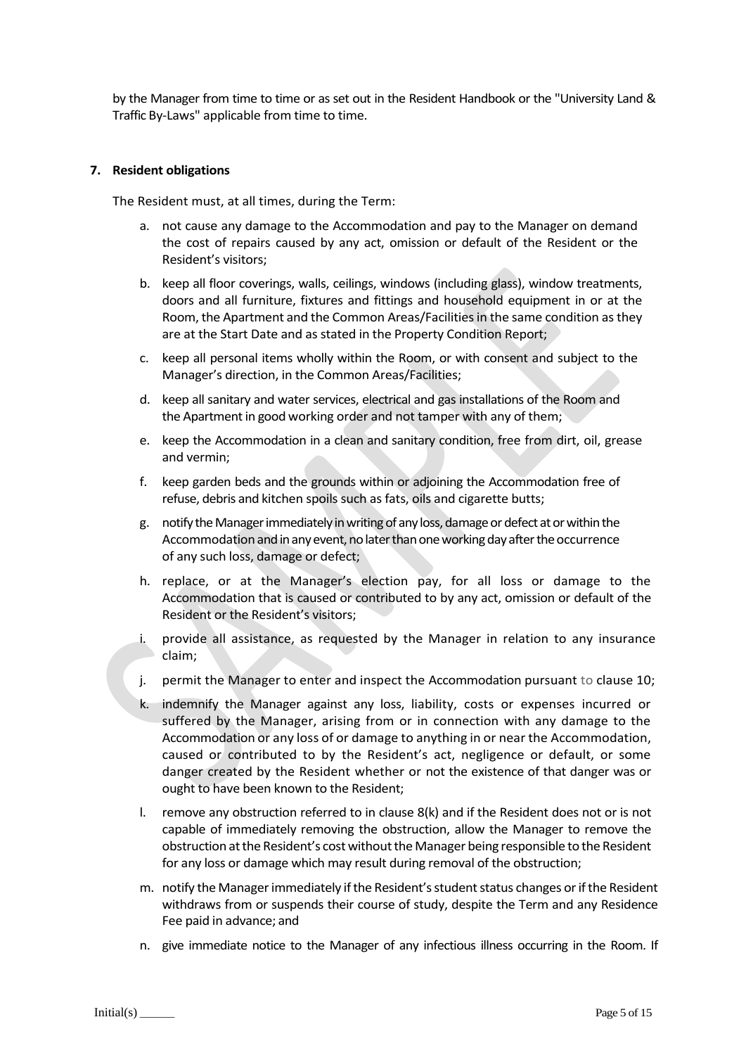by the Manager from time to time or as set out in the Resident Handbook or the "University Land & Traffic By-Laws" applicable from time to time.

#### **7. Resident obligations**

The Resident must, at all times, during the Term:

- a. not cause any damage to the Accommodation and pay to the Manager on demand the cost of repairs caused by any act, omission or default of the Resident or the Resident's visitors;
- b. keep all floor coverings, walls, ceilings, windows (including glass), window treatments, doors and all furniture, fixtures and fittings and household equipment in or at the Room, the Apartment and the Common Areas/Facilities in the same condition as they are at the Start Date and as stated in the Property Condition Report;
- c. keep all personal items wholly within the Room, or with consent and subject to the Manager's direction, in the Common Areas/Facilities;
- d. keep all sanitary and water services, electrical and gas installations of the Room and the Apartment in good working order and not tamper with any of them;
- e. keep the Accommodation in a clean and sanitary condition, free from dirt, oil, grease and vermin;
- f. keep garden beds and the grounds within or adjoining the Accommodation free of refuse, debris and kitchen spoils such as fats, oils and cigarette butts;
- g. notify the Managerimmediately in writing of any loss, damage or defect at or within the Accommodation and in anyevent, nolater than one working day after the occurrence of any such loss, damage or defect;
- h. replace, or at the Manager's election pay, for all loss or damage to the Accommodation that is caused or contributed to by any act, omission or default of the Resident or the Resident's visitors;
- provide all assistance, as requested by the Manager in relation to any insurance claim;
- j. permit the Manager to enter and inspect the Accommodation pursuant to clause 10;
- k. indemnify the Manager against any loss, liability, costs or expenses incurred or suffered by the Manager, arising from or in connection with any damage to the Accommodation or any loss of or damage to anything in or near the Accommodation, caused or contributed to by the Resident's act, negligence or default, or some danger created by the Resident whether or not the existence of that danger was or ought to have been known to the Resident;
- I. remove any obstruction referred to in clause  $8(k)$  and if the Resident does not or is not capable of immediately removing the obstruction, allow the Manager to remove the obstruction at the Resident's cost without the Manager being responsible to the Resident for any loss or damage which may result during removal of the obstruction;
- m. notify the Managerimmediately if the Resident'sstudent status changes or if the Resident withdraws from or suspends their course of study, despite the Term and any Residence Fee paid in advance; and
- n. give immediate notice to the Manager of any infectious illness occurring in the Room. If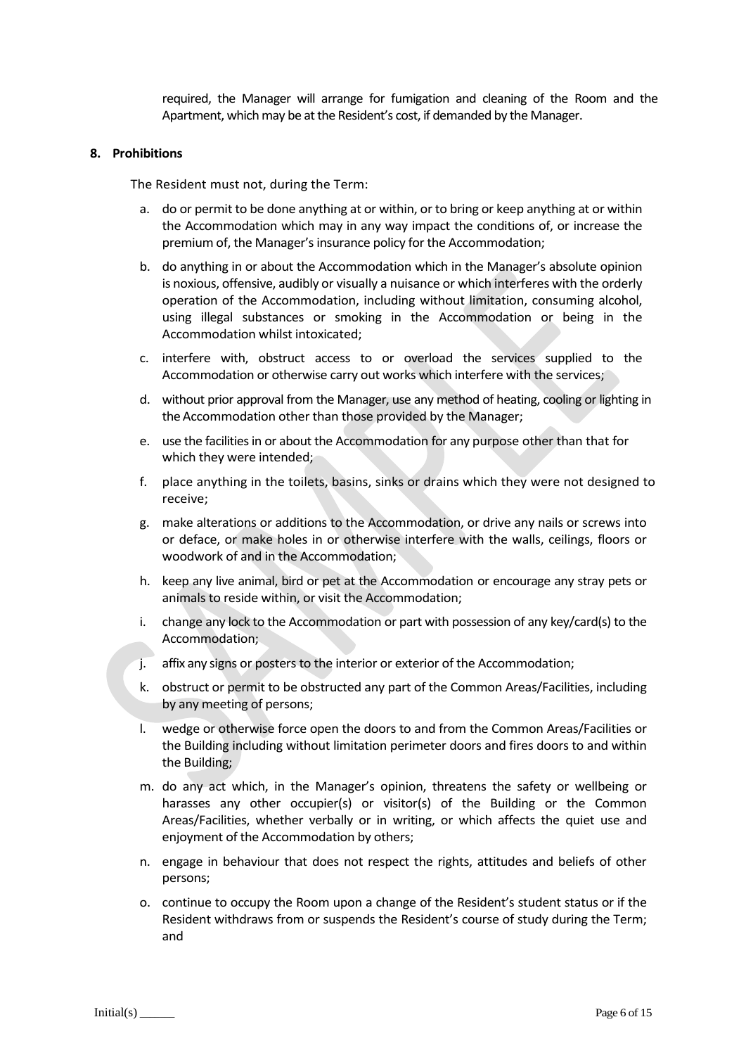required, the Manager will arrange for fumigation and cleaning of the Room and the Apartment, which may be at the Resident's cost, if demanded by the Manager.

#### **8. Prohibitions**

The Resident must not, during the Term:

- a. do or permit to be done anything at or within, or to bring or keep anything at or within the Accommodation which may in any way impact the conditions of, or increase the premium of, the Manager's insurance policy for the Accommodation;
- b. do anything in or about the Accommodation which in the Manager's absolute opinion is noxious, offensive, audibly or visually a nuisance or which interferes with the orderly operation of the Accommodation, including without limitation, consuming alcohol, using illegal substances or smoking in the Accommodation or being in the Accommodation whilst intoxicated;
- c. interfere with, obstruct access to or overload the services supplied to the Accommodation or otherwise carry out works which interfere with the services;
- d. without prior approval from the Manager, use any method of heating, cooling or lighting in the Accommodation other than those provided by the Manager;
- e. use the facilities in or about the Accommodation for any purpose other than that for which they were intended;
- f. place anything in the toilets, basins, sinks or drains which they were not designed to receive;
- g. make alterations or additions to the Accommodation, or drive any nails or screws into or deface, or make holes in or otherwise interfere with the walls, ceilings, floors or woodwork of and in the Accommodation;
- h. keep any live animal, bird or pet at the Accommodation or encourage any stray pets or animals to reside within, or visit the Accommodation;
- i. change any lock to the Accommodation or part with possession of any key/card(s) to the Accommodation;
- j. affix any signs or posters to the interior or exterior of the Accommodation;
- k. obstruct or permit to be obstructed any part of the Common Areas/Facilities, including by any meeting of persons;
- l. wedge or otherwise force open the doors to and from the Common Areas/Facilities or the Building including without limitation perimeter doors and fires doors to and within the Building;
- m. do any act which, in the Manager's opinion, threatens the safety or wellbeing or harasses any other occupier(s) or visitor(s) of the Building or the Common Areas/Facilities, whether verbally or in writing, or which affects the quiet use and enjoyment of the Accommodation by others;
- n. engage in behaviour that does not respect the rights, attitudes and beliefs of other persons;
- o. continue to occupy the Room upon a change of the Resident's student status or if the Resident withdraws from or suspends the Resident's course of study during the Term; and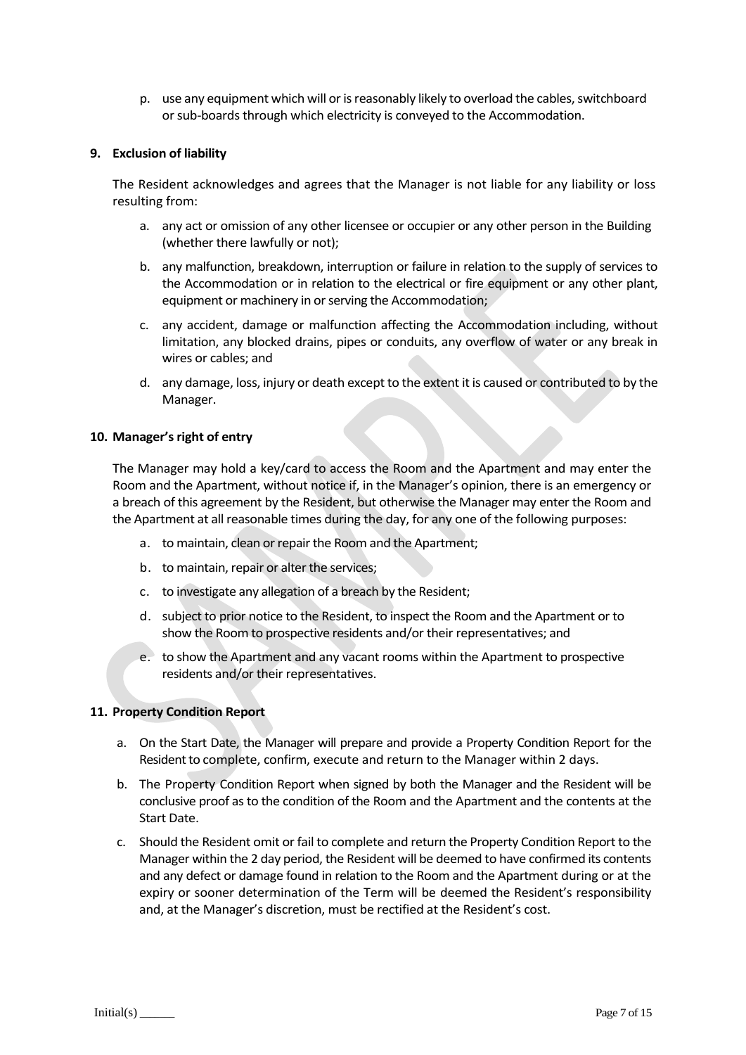p. use any equipment which will or is reasonably likely to overload the cables, switchboard or sub-boards through which electricity is conveyed to the Accommodation.

#### **9. Exclusion of liability**

The Resident acknowledges and agrees that the Manager is not liable for any liability or loss resulting from:

- a. any act or omission of any other licensee or occupier or any other person in the Building (whether there lawfully or not);
- b. any malfunction, breakdown, interruption or failure in relation to the supply of services to the Accommodation or in relation to the electrical or fire equipment or any other plant, equipment or machinery in or serving the Accommodation;
- c. any accident, damage or malfunction affecting the Accommodation including, without limitation, any blocked drains, pipes or conduits, any overflow of water or any break in wires or cables; and
- d. any damage, loss, injury or death except to the extent it is caused or contributed to by the Manager.

#### **10. Manager'sright of entry**

The Manager may hold a key/card to access the Room and the Apartment and may enter the Room and the Apartment, without notice if, in the Manager's opinion, there is an emergency or a breach of this agreement by the Resident, but otherwise the Manager may enter the Room and the Apartment at all reasonable times during the day, for any one of the following purposes:

- a. to maintain, clean or repair the Room and the Apartment;
- b. to maintain, repair or alter the services;
- c. to investigate any allegation of a breach by the Resident;
- d. subject to prior notice to the Resident, to inspect the Room and the Apartment or to show the Room to prospective residents and/or their representatives; and
- e. to show the Apartment and any vacant rooms within the Apartment to prospective residents and/or their representatives.

#### **11. Property Condition Report**

- a. On the Start Date, the Manager will prepare and provide a Property Condition Report for the Resident to complete, confirm, execute and return to the Manager within 2 days.
- b. The Property Condition Report when signed by both the Manager and the Resident will be conclusive proof as to the condition of the Room and the Apartment and the contents at the Start Date.
- c. Should the Resident omit or fail to complete and return the Property Condition Report to the Manager within the 2 day period, the Resident will be deemed to have confirmed its contents and any defect or damage found in relation to the Room and the Apartment during or at the expiry or sooner determination of the Term will be deemed the Resident's responsibility and, at the Manager's discretion, must be rectified at the Resident's cost.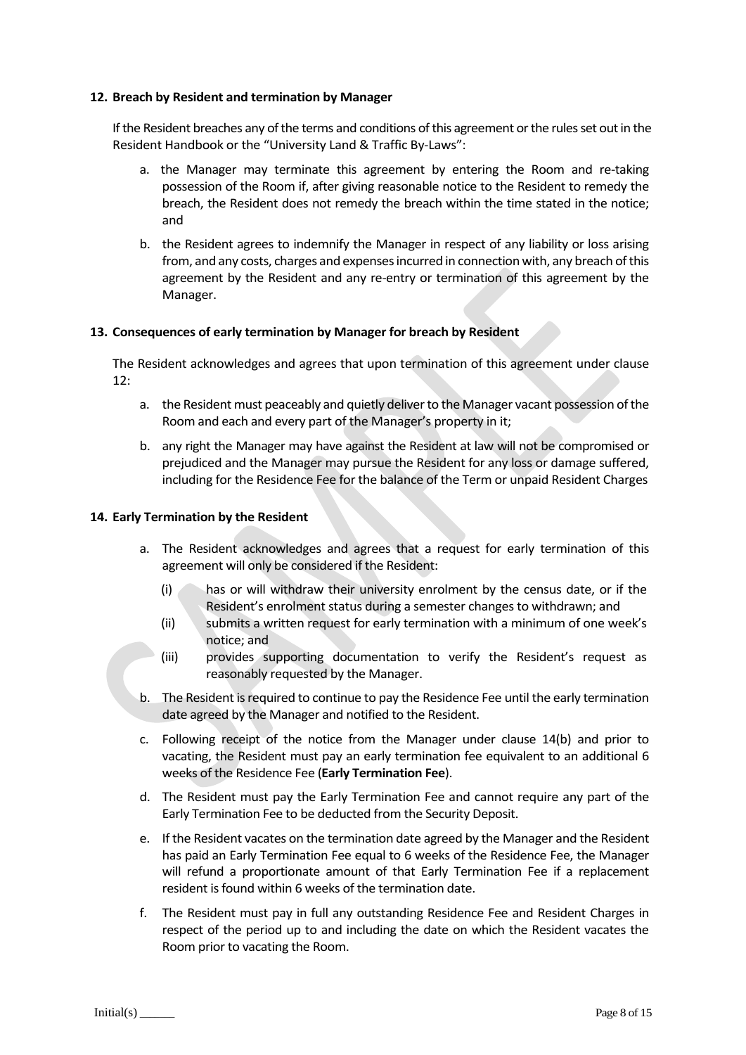#### **12. Breach by Resident and termination by Manager**

If the Resident breaches any of the terms and conditions of this agreement or the rules set outin the Resident Handbook or the "University Land & Traffic By-Laws":

- a. the Manager may terminate this agreement by entering the Room and re-taking possession of the Room if, after giving reasonable notice to the Resident to remedy the breach, the Resident does not remedy the breach within the time stated in the notice; and
- b. the Resident agrees to indemnify the Manager in respect of any liability or loss arising from, and any costs, charges and expenses incurred in connection with, any breach of this agreement by the Resident and any re-entry or termination of this agreement by the Manager.

#### **13. Consequences of early termination by Manager for breach by Resident**

The Resident acknowledges and agrees that upon termination of this agreement under clause 12:

- a. the Resident must peaceably and quietly deliver to the Manager vacant possession of the Room and each and every part of the Manager's property in it;
- b. any right the Manager may have against the Resident at law will not be compromised or prejudiced and the Manager may pursue the Resident for any loss or damage suffered, including for the Residence Fee for the balance of the Term or unpaid Resident Charges

#### **14. Early Termination by the Resident**

- a. The Resident acknowledges and agrees that a request for early termination of this agreement will only be considered if the Resident:
	- (i) has or will withdraw their university enrolment by the census date, or if the Resident's enrolment status during a semester changes to withdrawn; and
	- (ii) submits a written request for early termination with a minimum of one week's notice; and
	- (iii) provides supporting documentation to verify the Resident's request as reasonably requested by the Manager.
- b. The Resident is required to continue to pay the Residence Fee until the early termination date agreed by the Manager and notified to the Resident.
- c. Following receipt of the notice from the Manager under clause 14(b) and prior to vacating, the Resident must pay an early termination fee equivalent to an additional 6 weeks of the Residence Fee (**Early Termination Fee**).
- d. The Resident must pay the Early Termination Fee and cannot require any part of the Early Termination Fee to be deducted from the Security Deposit.
- e. If the Resident vacates on the termination date agreed by the Manager and the Resident has paid an Early Termination Fee equal to 6 weeks of the Residence Fee, the Manager will refund a proportionate amount of that Early Termination Fee if a replacement resident is found within 6 weeks of the termination date.
- f. The Resident must pay in full any outstanding Residence Fee and Resident Charges in respect of the period up to and including the date on which the Resident vacates the Room prior to vacating the Room.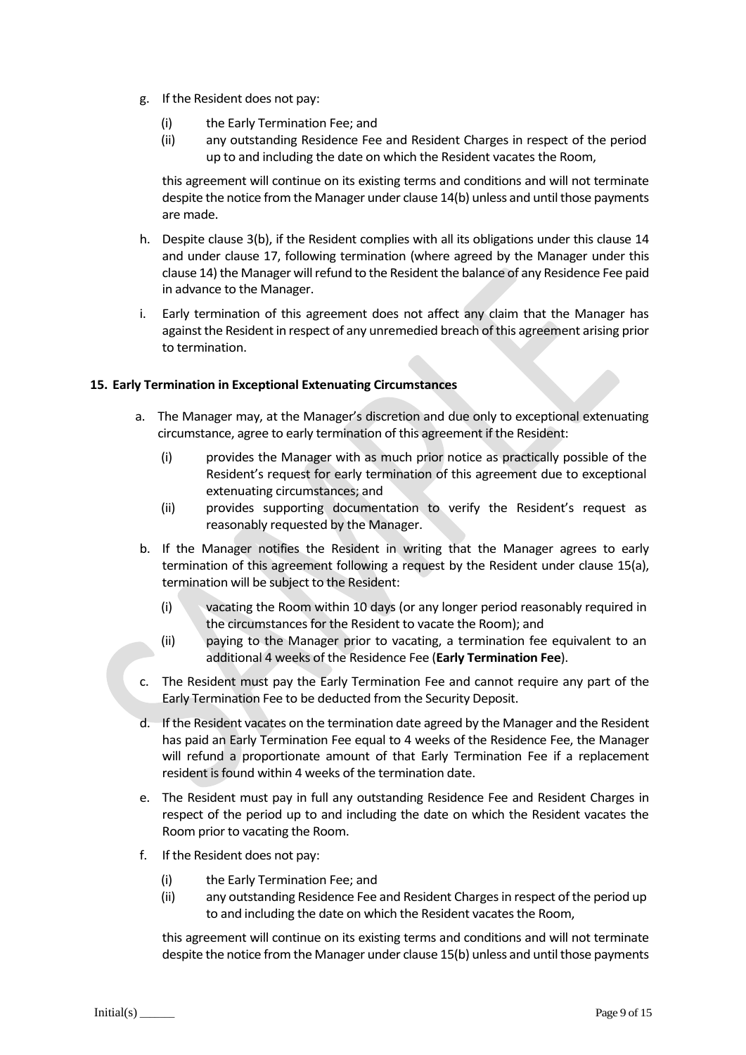- g. If the Resident does not pay:
	- (i) the Early Termination Fee; and
	- (ii) any outstanding Residence Fee and Resident Charges in respect of the period up to and including the date on which the Resident vacates the Room,

this agreement will continue on its existing terms and conditions and will not terminate despite the notice from the Manager under clause 14(b) unless and until those payments are made.

- h. Despite clause 3(b), if the Resident complies with all its obligations under this clause 14 and under clause 17, following termination (where agreed by the Manager under this clause 14) the Manager will refund to the Resident the balance of any Residence Fee paid in advance to the Manager.
- i. Early termination of this agreement does not affect any claim that the Manager has against the Resident in respect of any unremedied breach of this agreement arising prior to termination.

### **15. Early Termination in Exceptional Extenuating Circumstances**

- a. The Manager may, at the Manager's discretion and due only to exceptional extenuating circumstance, agree to early termination of this agreement if the Resident:
	- (i) provides the Manager with as much prior notice as practically possible of the Resident's request for early termination of this agreement due to exceptional extenuating circumstances; and
	- (ii) provides supporting documentation to verify the Resident's request as reasonably requested by the Manager.
- b. If the Manager notifies the Resident in writing that the Manager agrees to early termination of this agreement following a request by the Resident under clause 15(a), termination will be subject to the Resident:
	- (i) vacating the Room within 10 days (or any longer period reasonably required in the circumstances for the Resident to vacate the Room); and
	- (ii) paying to the Manager prior to vacating, a termination fee equivalent to an additional 4 weeks of the Residence Fee (**Early Termination Fee**).
- c. The Resident must pay the Early Termination Fee and cannot require any part of the Early Termination Fee to be deducted from the Security Deposit.
- d. If the Resident vacates on the termination date agreed by the Manager and the Resident has paid an Early Termination Fee equal to 4 weeks of the Residence Fee, the Manager will refund a proportionate amount of that Early Termination Fee if a replacement resident is found within 4 weeks of the termination date.
- e. The Resident must pay in full any outstanding Residence Fee and Resident Charges in respect of the period up to and including the date on which the Resident vacates the Room prior to vacating the Room.
- f. If the Resident does not pay:
	- (i) the Early Termination Fee; and
	- (ii) any outstanding Residence Fee and Resident Charges in respect of the period up to and including the date on which the Resident vacates the Room,

this agreement will continue on its existing terms and conditions and will not terminate despite the notice from the Manager under clause 15(b) unless and until those payments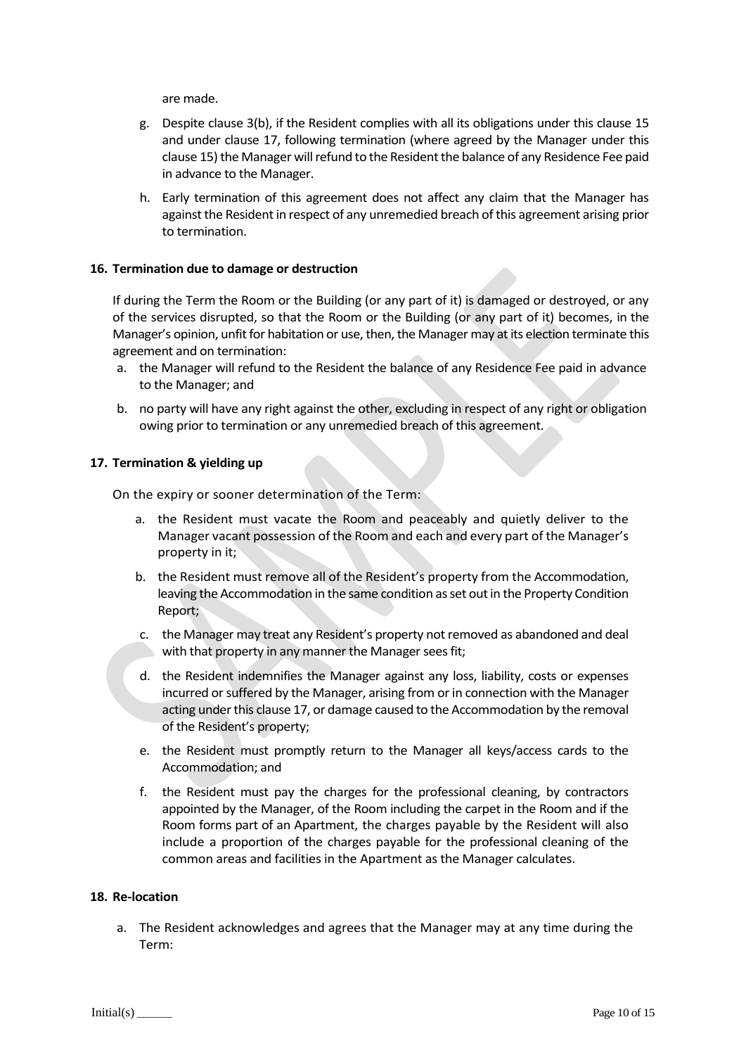are made.

- g. Despite clause 3(b), if the Resident complies with all its obligations under this clause 15 and under clause 17, following termination (where agreed by the Manager under this clause 15) the Manager will refund to the Resident the balance of any Residence Fee paid in advance to the Manager.
- h. Early termination of this agreement does not affect any claim that the Manager has against the Resident in respect of any unremedied breach of this agreement arising prior to termination.

#### **16. Termination due to damage or destruction**

If during the Term the Room or the Building (or any part of it) is damaged or destroyed, or any of the services disrupted, so that the Room or the Building (or any part of it) becomes, in the Manager's opinion, unfit for habitation or use, then, the Manager may at its election terminate this agreement and on termination:

- a. the Manager will refund to the Resident the balance of any Residence Fee paid in advance to the Manager; and
- b. no party will have any right against the other, excluding in respect of any right or obligation owing prior to termination or any unremedied breach of this agreement.

#### **17. Termination & yielding up**

On the expiry or sooner determination of the Term:

- a. the Resident must vacate the Room and peaceably and quietly deliver to the Manager vacant possession of the Room and each and every part of the Manager's property in it;
- b. the Resident must remove all of the Resident's property from the Accommodation, leaving the Accommodation in the same condition as set out in the Property Condition Report;
- c. the Manager may treat any Resident's property not removed as abandoned and deal with that property in any manner the Manager sees fit;
- d. the Resident indemnifies the Manager against any loss, liability, costs or expenses incurred or suffered by the Manager, arising from or in connection with the Manager acting under this clause 17, or damage caused to the Accommodation by the removal of the Resident's property;
- e. the Resident must promptly return to the Manager all keys/access cards to the Accommodation; and
- f. the Resident must pay the charges for the professional cleaning, by contractors appointed by the Manager, of the Room including the carpet in the Room and if the Room forms part of an Apartment, the charges payable by the Resident will also include a proportion of the charges payable for the professional cleaning of the common areas and facilities in the Apartment as the Manager calculates.

#### **18. Re-location**

a. The Resident acknowledges and agrees that the Manager may at any time during the Term: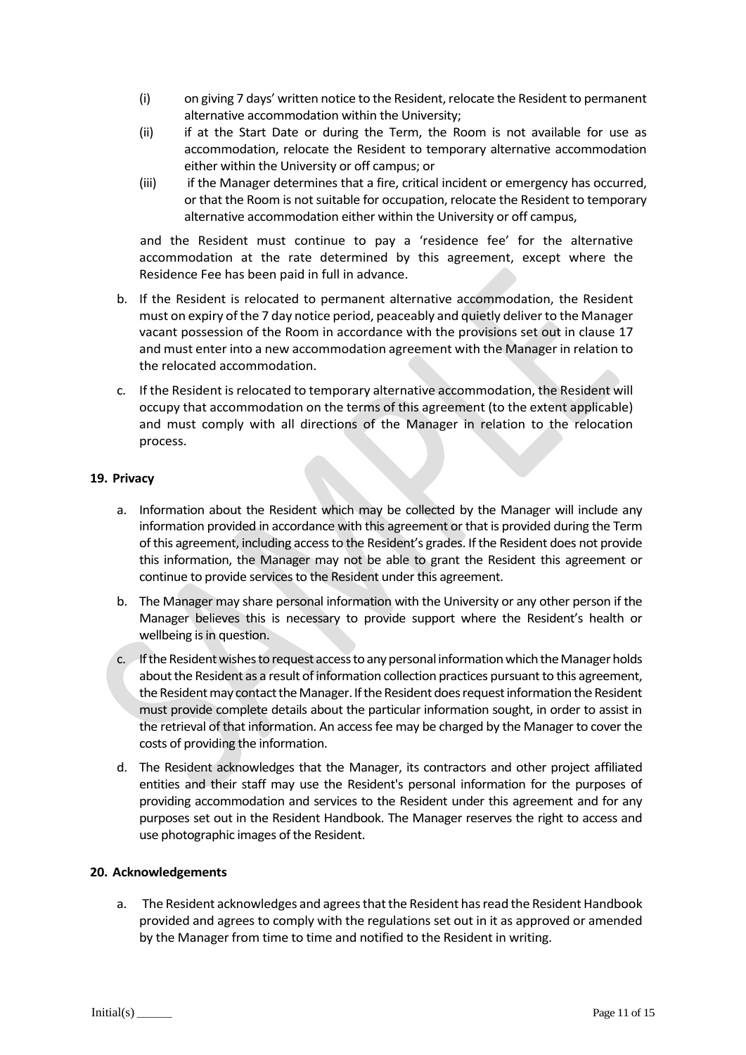- (i) on giving 7 days' written notice to the Resident, relocate the Resident to permanent alternative accommodation within the University;
- (ii) if at the Start Date or during the Term, the Room is not available for use as accommodation, relocate the Resident to temporary alternative accommodation either within the University or off campus; or
- (iii) if the Manager determines that a fire, critical incident or emergency has occurred, or that the Room is not suitable for occupation, relocate the Resident to temporary alternative accommodation either within the University or off campus,

and the Resident must continue to pay a 'residence fee' for the alternative accommodation at the rate determined by this agreement, except where the Residence Fee has been paid in full in advance.

- b. If the Resident is relocated to permanent alternative accommodation, the Resident must on expiry of the 7 day notice period, peaceably and quietly deliver to the Manager vacant possession of the Room in accordance with the provisions set out in clause 17 and must enter into a new accommodation agreement with the Manager in relation to the relocated accommodation.
- c. If the Resident is relocated to temporary alternative accommodation, the Resident will occupy that accommodation on the terms of this agreement (to the extent applicable) and must comply with all directions of the Manager in relation to the relocation process.

#### **19. Privacy**

- a. Information about the Resident which may be collected by the Manager will include any information provided in accordance with this agreement or that is provided during the Term of this agreement, including access to the Resident's grades. If the Resident does not provide this information, the Manager may not be able to grant the Resident this agreement or continue to provide services to the Resident under this agreement.
- b. The Manager may share personal information with the University or any other person if the Manager believes this is necessary to provide support where the Resident's health or wellbeing is in question.
- c. If the Resident wishes to request access to any personal information which the Managerholds about the Resident as a result of information collection practices pursuant to this agreement, the Resident may contact the Manager. If the Resident does request information the Resident must provide complete details about the particular information sought, in order to assist in the retrieval of that information. An access fee may be charged by the Manager to cover the costs of providing the information.
- d. The Resident acknowledges that the Manager, its contractors and other project affiliated entities and their staff may use the Resident's personal information for the purposes of providing accommodation and services to the Resident under this agreement and for any purposes set out in the Resident Handbook. The Manager reserves the right to access and use photographic images of the Resident.

#### **20. Acknowledgements**

a. The Resident acknowledges and agreesthat the Resident hasread the Resident Handbook provided and agrees to comply with the regulations set out in it as approved or amended by the Manager from time to time and notified to the Resident in writing.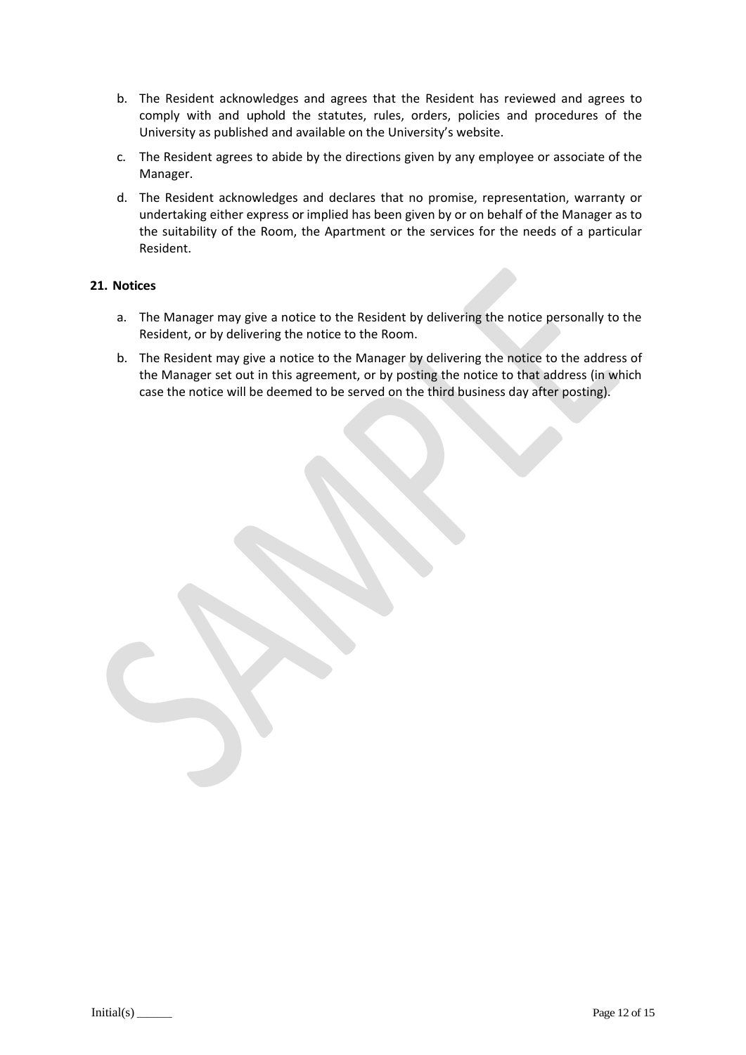- b. The Resident acknowledges and agrees that the Resident has reviewed and agrees to comply with and uphold the statutes, rules, orders, policies and procedures of the University as published and available on the University's website.
- c. The Resident agrees to abide by the directions given by any employee or associate of the Manager.
- d. The Resident acknowledges and declares that no promise, representation, warranty or undertaking either express or implied has been given by or on behalf of the Manager as to the suitability of the Room, the Apartment or the services for the needs of a particular Resident.

#### **21. Notices**

- a. The Manager may give a notice to the Resident by delivering the notice personally to the Resident, or by delivering the notice to the Room.
- b. The Resident may give a notice to the Manager by delivering the notice to the address of the Manager set out in this agreement, or by posting the notice to that address (in which case the notice will be deemed to be served on the third business day after posting).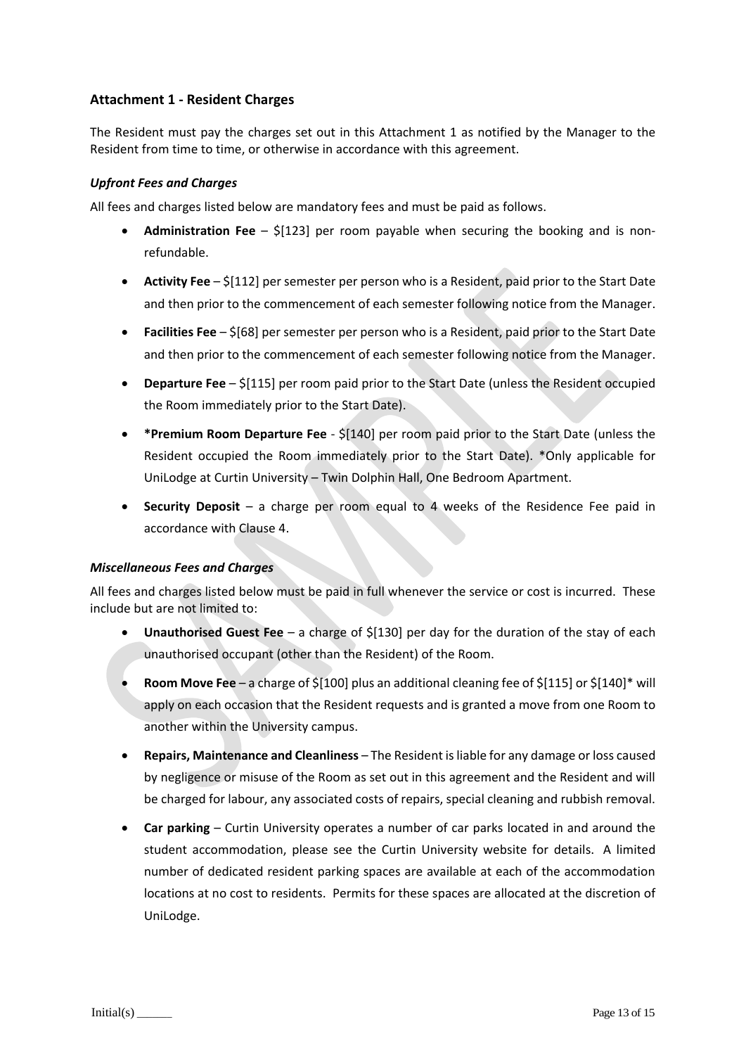## **Attachment 1 - Resident Charges**

The Resident must pay the charges set out in this Attachment 1 as notified by the Manager to the Resident from time to time, or otherwise in accordance with this agreement.

### *Upfront Fees and Charges*

All fees and charges listed below are mandatory fees and must be paid as follows.

- **Administration Fee**  \$[123] per room payable when securing the booking and is nonrefundable.
- **Activity Fee** \$[112] per semester per person who is a Resident, paid prior to the Start Date and then prior to the commencement of each semester following notice from the Manager.
- **Facilities Fee**  \$[68] per semester per person who is a Resident, paid prior to the Start Date and then prior to the commencement of each semester following notice from the Manager.
- **Departure Fee** \$[115] per room paid prior to the Start Date (unless the Resident occupied the Room immediately prior to the Start Date).
- **\*Premium Room Departure Fee**  \$[140] per room paid prior to the Start Date (unless the Resident occupied the Room immediately prior to the Start Date). \*Only applicable for UniLodge at Curtin University – Twin Dolphin Hall, One Bedroom Apartment.
- **Security Deposit**  a charge per room equal to 4 weeks of the Residence Fee paid in accordance with Clause 4.

#### *Miscellaneous Fees and Charges*

All fees and charges listed below must be paid in full whenever the service or cost is incurred. These include but are not limited to:

- **Unauthorised Guest Fee** a charge of \$[130] per day for the duration of the stay of each unauthorised occupant (other than the Resident) of the Room.
- **Room Move Fee** a charge of \$[100] plus an additional cleaning fee of \$[115] or \$[140]\* will apply on each occasion that the Resident requests and is granted a move from one Room to another within the University campus.
- **Repairs, Maintenance and Cleanliness** The Resident is liable for any damage or loss caused by negligence or misuse of the Room as set out in this agreement and the Resident and will be charged for labour, any associated costs of repairs, special cleaning and rubbish removal.
- **Car parking** Curtin University operates a number of car parks located in and around the student accommodation, please see the Curtin University website for details. A limited number of dedicated resident parking spaces are available at each of the accommodation locations at no cost to residents. Permits for these spaces are allocated at the discretion of UniLodge.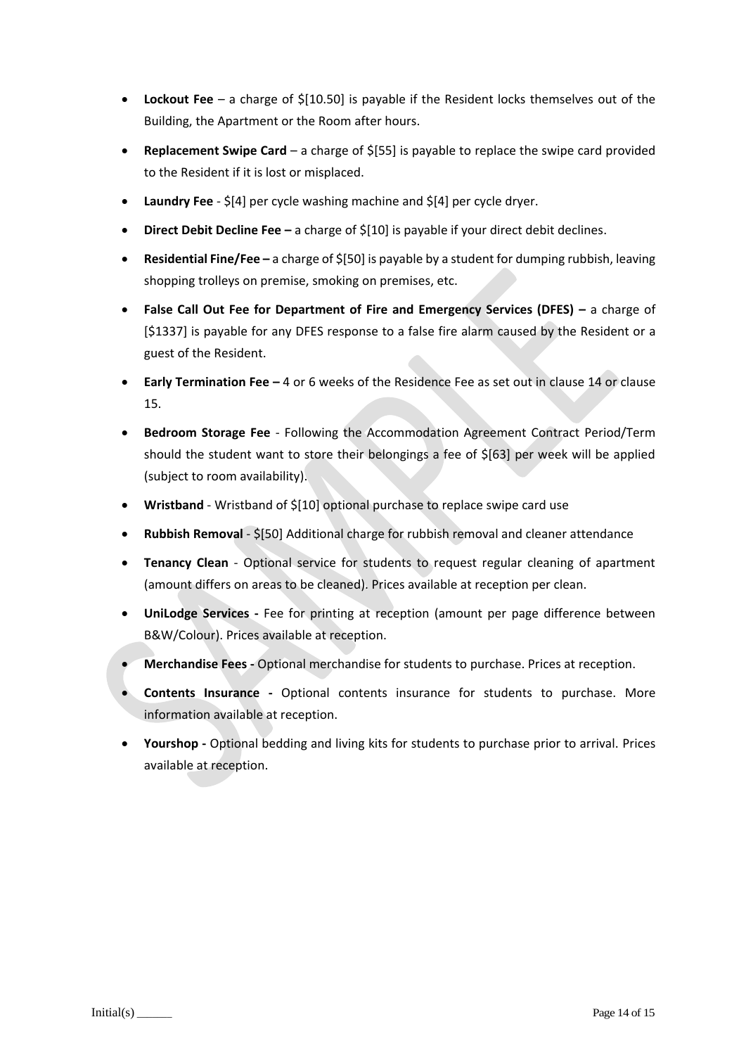- **Lockout Fee** a charge of \$[10.50] is payable if the Resident locks themselves out of the Building, the Apartment or the Room after hours.
- **Replacement Swipe Card**  a charge of \$[55] is payable to replace the swipe card provided to the Resident if it is lost or misplaced.
- **Laundry Fee**  \$[4] per cycle washing machine and \$[4] per cycle dryer.
- **Direct Debit Decline Fee –** a charge of \$[10] is payable if your direct debit declines.
- **Residential Fine/Fee –** a charge of \$[50] is payable by a student for dumping rubbish, leaving shopping trolleys on premise, smoking on premises, etc.
- **False Call Out Fee for Department of Fire and Emergency Services (DFES) –** a charge of [\$1337] is payable for any DFES response to a false fire alarm caused by the Resident or a guest of the Resident.
- **Early Termination Fee –** 4 or 6 weeks of the Residence Fee as set out in clause 14 or clause 15.
- **Bedroom Storage Fee** Following the Accommodation Agreement Contract Period/Term should the student want to store their belongings a fee of \$[63] per week will be applied (subject to room availability).
- **Wristband**  Wristband of \$[10] optional purchase to replace swipe card use
- **Rubbish Removal** \$[50] Additional charge for rubbish removal and cleaner attendance
- **Tenancy Clean** Optional service for students to request regular cleaning of apartment (amount differs on areas to be cleaned). Prices available at reception per clean.
- **UniLodge Services -** Fee for printing at reception (amount per page difference between B&W/Colour). Prices available at reception.
- **Merchandise Fees -** Optional merchandise for students to purchase. Prices at reception.
- **Contents Insurance -** Optional contents insurance for students to purchase. More information available at reception.
- **Yourshop -** Optional bedding and living kits for students to purchase prior to arrival. Prices available at reception.